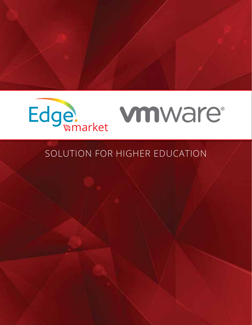

## SOLUTION FOR HIGHER EDUCATION

Cooperative Pricing System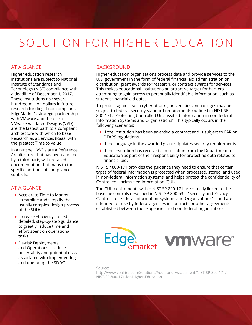# SOLUTION FOR HIGHER EDUCATION

#### AT A GLANCE

Higher education research institutions are subject to National Institute of Standards and Technology (NIST) compliance with a deadline of December 1, 2017. These institutions risk several hundred million dollars in future research funding if not compliant. EdgeMarket's strategic partnership with VMware and the use of VMware Validated Designs (VVD) are the fastest path to a compliant architecture with which to base Research as a Services (Raas) with the greatest Time to Value.

In a nutshell, VVDs are a Reference Architecture that has been audited by a third party with detailed documentation that maps to the specific portions of compliance controls.

#### AT A GLANCE

- ▶ Accelerate Time to Market streamline and simplify the usually complex design process of the SDDC
- $\blacktriangleright$  Increase Efficiency used detailed, step-by-step guidance to greatly reduce time and effort spent on operational tasks
- De-risk Deployments and Operations – reduce uncertainty and potential risks associated with implementing and operating the SDDC

#### **BACKGROUND**

Higher education organizations process data and provide services to the U.S. government in the form of federal financial aid administration or distribution, grant awards for research, or contract awards for services. This makes educational institutions an attractive target for hackers attempting to gain access to personally identifiable information, such as student financial aid data.

To protect against such cyber-attacks, universities and colleges may be subject to federal security standard requirements outlined in NIST SP 800-171, "Protecting Controlled Unclassified Information in non-federal Information Systems and Organizations". This typically occurs in the following scenarios:

- If the institution has been awarded a contract and is subject to FAR or DFARS regulations.
- $\blacktriangleright$  If the language in the awarded grant stipulates security requirements.
- $\blacktriangleright$  If the institution has received a notification from the Department of Education as part of their responsibility for protecting data related to financial aid.

NIST SP 800-171 provides the guidance they need to ensure that certain types of federal information is protected when processed, stored, and used in non-federal information systems, and helps protect the confidentiality of Controlled Unclassified Information (CUI).

The CUI requirements within NIST SP 800-171 are directly linked to the baseline controls described in NIST SP 800-53 -- "Security and Privacy Controls for Federal Information Systems and Organizations" -- and are intended for use by federal agencies in contracts or other agreements established between those agencies and non-federal organizations.





Source:

http://www.coalfire.com/Solutions/Audit-and-Assessment/NIST-SP-800-171/ NIST-SP-800-171-for-Higher-Education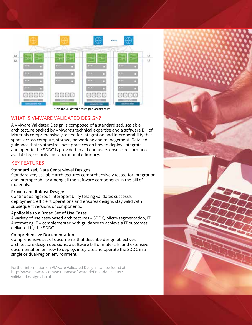

VMware validated design pod architecture

### WHAT IS VMWARE VALIDATED DESIGN?

A VMware Validated Design is composed of a standardized, scalable architecture backed by VMware's technical expertise and a software Bill of Materials comprehensively tested for integration and interoperability that spans across compute, storage, networking and management. Detailed guidance that synthesizes best practices on how to deploy, integrate and operate the SDDC is provided to aid end-users ensure performance, availability, security and operational efficiency.

#### KEY FEATURES

#### **Standardized, Data Center-level Designs**

Standardized, scalable architectures comprehensively tested for integration and interoperability among all the software components in the bill of materials.

#### **Proven and Robust Designs**

Continuous rigorous interoperability testing validates successful deployment, efficient operations and ensures designs stay valid with subsequent versions of components.

#### **Applicable to a Broad Set of Use Cases**

A variety of use case-based architectures – SDDC, Micro-segmentation, IT Automating IT – complemented with guidance to achieve a IT outcomes delivered by the SDDC.

#### **Comprehensive Documentation**

Comprehensive set of documents that describe design objectives, architecture design decisions, a software bill of materials, and extensive documentation on how to deploy, integrate and operate the SDDC in a single or dual-region environment.

Further information on VMware Validated Designs can be found at: http://www.vmware.com/solutions/software-defined-datacenter/ validated-designs.html